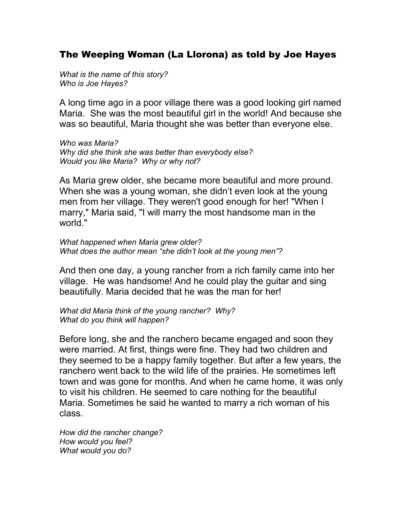## The Weeping Woman (La Llorona) as told by Joe Hayes

*What is the name of this story? Who is Joe Hayes?*

A long time ago in a poor village there was a good looking girl named Maria. She was the most beautiful girl in the world! And because she was so beautiful, Maria thought she was better than everyone else.

*Who was Maria? Why did she think she was better than everybody else? Would you like Maria? Why or why not?*

As Maria grew older, she became more beautiful and more pround. When she was a young woman, she didn't even look at the young men from her village. They weren't good enough for her! "When I marry," Maria said, "I will marry the most handsome man in the world."

*What happened when Maria grew older? What does the author mean "she didn't look at the young men"?*

And then one day, a young rancher from a rich family came into her village. He was handsome! And he could play the guitar and sing beautifully. Maria decided that he was the man for her!

*What did Maria think of the young rancher? Why? What do you think will happen?*

Before long, she and the ranchero became engaged and soon they were married. At first, things were fine. They had two children and they seemed to be a happy family together. But after a few years, the ranchero went back to the wild life of the prairies. He sometimes left town and was gone for months. And when he came home, it was only to visit his children. He seemed to care nothing for the beautiful Maria. Sometimes he said he wanted to marry a rich woman of his class.

*How did the rancher change? How would you feel? What would you do?*